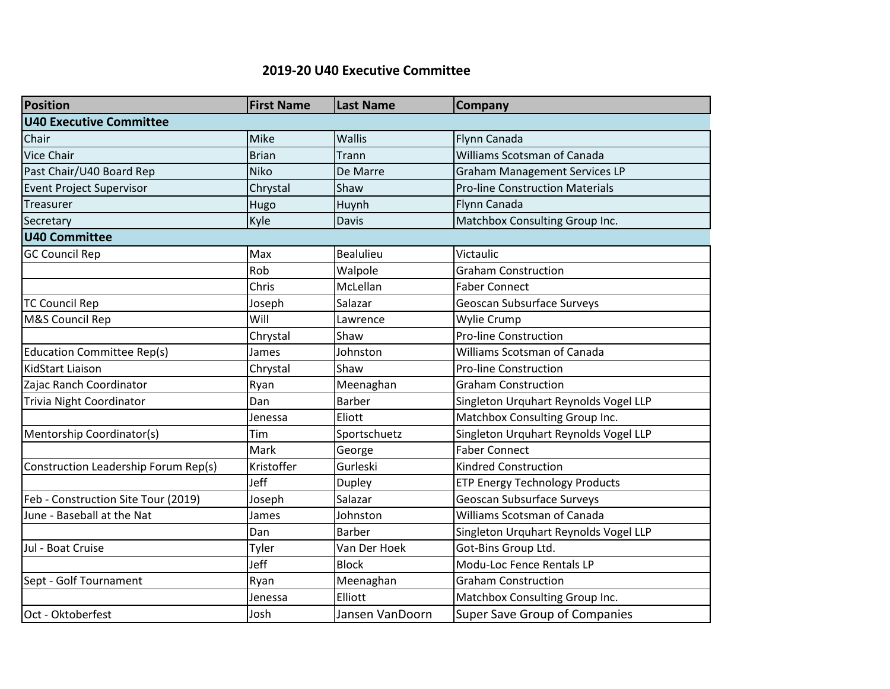## **2019-20 U40 Executive Committee**

| <b>Position</b>                      | <b>First Name</b> | <b>Last Name</b> | Company                                |
|--------------------------------------|-------------------|------------------|----------------------------------------|
| <b>U40 Executive Committee</b>       |                   |                  |                                        |
| Chair                                | Mike              | <b>Wallis</b>    | Flynn Canada                           |
| <b>Vice Chair</b>                    | <b>Brian</b>      | Trann            | Williams Scotsman of Canada            |
| Past Chair/U40 Board Rep             | <b>Niko</b>       | De Marre         | <b>Graham Management Services LP</b>   |
| <b>Event Project Supervisor</b>      | Chrystal          | Shaw             | <b>Pro-line Construction Materials</b> |
| Treasurer                            | Hugo              | Huynh            | Flynn Canada                           |
| Secretary                            | Kyle              | Davis            | Matchbox Consulting Group Inc.         |
| <b>U40 Committee</b>                 |                   |                  |                                        |
| <b>GC Council Rep</b>                | Max               | <b>Bealulieu</b> | Victaulic                              |
|                                      | Rob               | Walpole          | <b>Graham Construction</b>             |
|                                      | Chris             | McLellan         | <b>Faber Connect</b>                   |
| <b>TC Council Rep</b>                | Joseph            | Salazar          | <b>Geoscan Subsurface Surveys</b>      |
| M&S Council Rep                      | Will              | Lawrence         | Wylie Crump                            |
|                                      | Chrystal          | Shaw             | <b>Pro-line Construction</b>           |
| <b>Education Committee Rep(s)</b>    | James             | Johnston         | Williams Scotsman of Canada            |
| <b>KidStart Liaison</b>              | Chrystal          | Shaw             | <b>Pro-line Construction</b>           |
| Zajac Ranch Coordinator              | Ryan              | Meenaghan        | <b>Graham Construction</b>             |
| <b>Trivia Night Coordinator</b>      | Dan               | Barber           | Singleton Urquhart Reynolds Vogel LLP  |
|                                      | Jenessa           | Eliott           | Matchbox Consulting Group Inc.         |
| Mentorship Coordinator(s)            | Tim               | Sportschuetz     | Singleton Urquhart Reynolds Vogel LLP  |
|                                      | Mark              | George           | <b>Faber Connect</b>                   |
| Construction Leadership Forum Rep(s) | Kristoffer        | Gurleski         | <b>Kindred Construction</b>            |
|                                      | Jeff              | <b>Dupley</b>    | <b>ETP Energy Technology Products</b>  |
| Feb - Construction Site Tour (2019)  | Joseph            | Salazar          | Geoscan Subsurface Surveys             |
| June - Baseball at the Nat           | James             | Johnston         | Williams Scotsman of Canada            |
|                                      | Dan               | Barber           | Singleton Urquhart Reynolds Vogel LLP  |
| Jul - Boat Cruise                    | Tyler             | Van Der Hoek     | Got-Bins Group Ltd.                    |
|                                      | Jeff              | <b>Block</b>     | Modu-Loc Fence Rentals LP              |
| Sept - Golf Tournament               | Ryan              | Meenaghan        | <b>Graham Construction</b>             |
|                                      | Jenessa           | Elliott          | Matchbox Consulting Group Inc.         |
| Oct - Oktoberfest                    | Josh              | Jansen VanDoorn  | Super Save Group of Companies          |